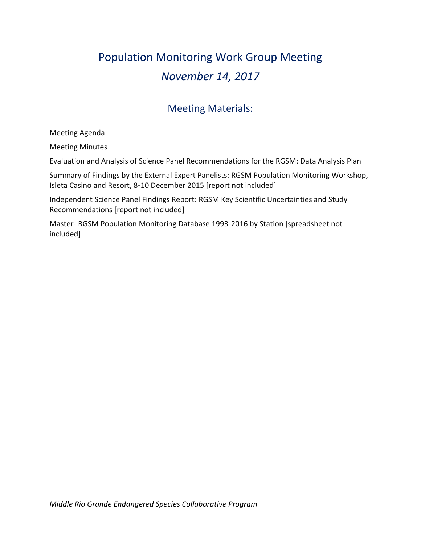# Population Monitoring Work Group Meeting *November 14, 2017*

# Meeting Materials:

Meeting Agenda

Meeting Minutes

Evaluation and Analysis of Science Panel Recommendations for the RGSM: Data Analysis Plan

Summary of Findings by the External Expert Panelists: RGSM Population Monitoring Workshop, Isleta Casino and Resort, 8‑10 December 2015 [report not included]

Independent Science Panel Findings Report: RGSM Key Scientific Uncertainties and Study Recommendations [report not included]

Master‑ RGSM Population Monitoring Database 1993‑2016 by Station [spreadsheet not included]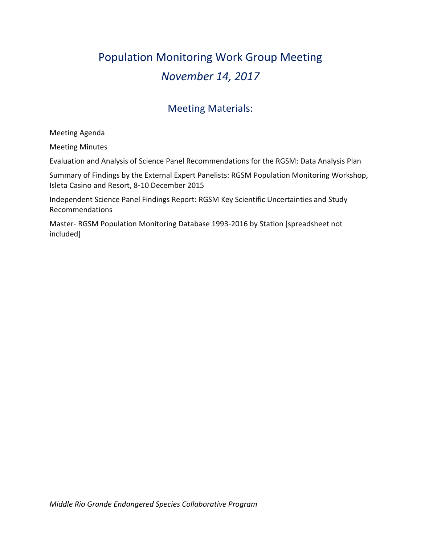# Population Monitoring Work Group Meeting *November 14, 2017*

# Meeting Materials:

Meeting Agenda

Meeting Minutes

Evaluation and Analysis of Science Panel Recommendations for the RGSM: Data Analysis Plan

Summary of Findings by the External Expert Panelists: RGSM Population Monitoring Workshop, Isleta Casino and Resort, 8‑10 December 2015

Independent Science Panel Findings Report: RGSM Key Scientific Uncertainties and Study Recommendations

Master‑ RGSM Population Monitoring Database 1993‑2016 by Station [spreadsheet not included]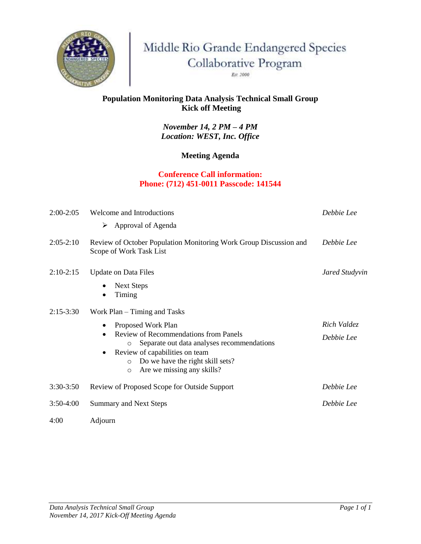

Middle Rio Grande Endangered Species Collaborative Program

Est. 2000

### **Population Monitoring Data Analysis Technical Small Group Kick off Meeting**

*November 14, 2 PM – 4 PM Location: WEST, Inc. Office*

### **Meeting Agenda**

#### **Conference Call information: Phone: (712) 451-0011 Passcode: 141544**

| $2:00-2:05$ | Welcome and Introductions                                                                                                                                                                                                                                                               | Debbie Lee                |  |  |
|-------------|-----------------------------------------------------------------------------------------------------------------------------------------------------------------------------------------------------------------------------------------------------------------------------------------|---------------------------|--|--|
|             | Approval of Agenda<br>➤                                                                                                                                                                                                                                                                 |                           |  |  |
| $2:05-2:10$ | Review of October Population Monitoring Work Group Discussion and<br>Debbie Lee<br>Scope of Work Task List                                                                                                                                                                              |                           |  |  |
| $2:10-2:15$ | <b>Update on Data Files</b><br>Jared Studyvin<br><b>Next Steps</b><br>Timing                                                                                                                                                                                                            |                           |  |  |
| $2:15-3:30$ | Work Plan $-$ Timing and Tasks<br>Proposed Work Plan<br><b>Review of Recommendations from Panels</b><br>Separate out data analyses recommendations<br>$\circ$<br>Review of capabilities on team<br>Do we have the right skill sets?<br>$\circ$<br>Are we missing any skills?<br>$\circ$ | Rich Valdez<br>Debbie Lee |  |  |
| $3:30-3:50$ | Review of Proposed Scope for Outside Support                                                                                                                                                                                                                                            | Debbie Lee                |  |  |
| $3:50-4:00$ | Debbie Lee<br><b>Summary and Next Steps</b>                                                                                                                                                                                                                                             |                           |  |  |
| 4:00        | Adjourn                                                                                                                                                                                                                                                                                 |                           |  |  |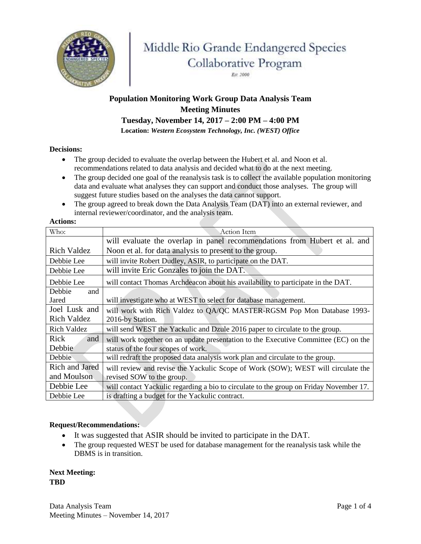

# Middle Rio Grande Endangered Species Collaborative Program

Est. 2000

# **Population Monitoring Work Group Data Analysis Team Meeting Minutes**

**Tuesday, November 14, 2017 – 2:00 PM – 4:00 PM**

**Location:** *Western Ecosystem Technology, Inc. (WEST) Office*

#### **Decisions:**

- The group decided to evaluate the overlap between the Hubert et al. and Noon et al. recommendations related to data analysis and decided what to do at the next meeting.
- The group decided one goal of the reanalysis task is to collect the available population monitoring data and evaluate what analyses they can support and conduct those analyses. The group will suggest future studies based on the analyses the data cannot support.
- The group agreed to break down the Data Analysis Team (DAT) into an external reviewer, and internal reviewer/coordinator, and the analysis team.

#### **Actions:**

| Who:               | <b>Action Item</b>                                                                     |
|--------------------|----------------------------------------------------------------------------------------|
|                    | will evaluate the overlap in panel recommendations from Hubert et al. and              |
| <b>Rich Valdez</b> | Noon et al. for data analysis to present to the group.                                 |
| Debbie Lee         | will invite Robert Dudley, ASIR, to participate on the DAT.                            |
| Debbie Lee         | will invite Eric Gonzales to join the DAT.                                             |
| Debbie Lee         | will contact Thomas Archdeacon about his availability to participate in the DAT.       |
| Debbie<br>and      |                                                                                        |
| Jared              | will investigate who at WEST to select for database management.                        |
| Joel Lusk and      | will work with Rich Valdez to QA/QC MASTER-RGSM Pop Mon Database 1993-                 |
| <b>Rich Valdez</b> | 2016-by Station.                                                                       |
| <b>Rich Valdez</b> | will send WEST the Yackulic and Dzule 2016 paper to circulate to the group.            |
| Rick<br>and        | will work together on an update presentation to the Executive Committee (EC) on the    |
| Debbie             | status of the four scopes of work.                                                     |
| Debbie             | will redraft the proposed data analysis work plan and circulate to the group.          |
| Rich and Jared     | will review and revise the Yackulic Scope of Work (SOW); WEST will circulate the       |
| and Moulson        | revised SOW to the group.                                                              |
| Debbie Lee         | will contact Yackulic regarding a bio to circulate to the group on Friday November 17. |
| Debbie Lee         | is drafting a budget for the Yackulic contract.                                        |

#### **Request/Recommendations:**

- It was suggested that ASIR should be invited to participate in the DAT.
- The group requested WEST be used for database management for the reanalysis task while the DBMS is in transition.

**Next Meeting: TBD**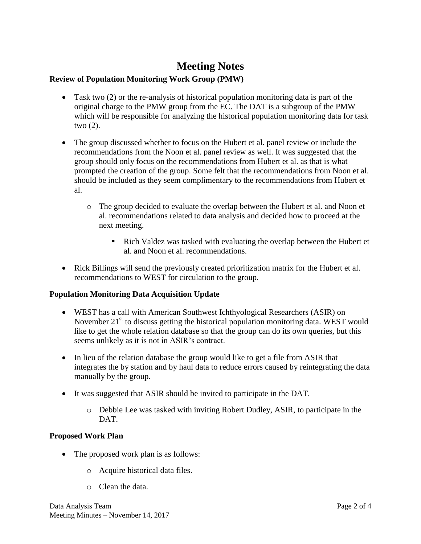# **Meeting Notes**

#### **Review of Population Monitoring Work Group (PMW)**

- Task two (2) or the re-analysis of historical population monitoring data is part of the original charge to the PMW group from the EC. The DAT is a subgroup of the PMW which will be responsible for analyzing the historical population monitoring data for task two (2).
- The group discussed whether to focus on the Hubert et al. panel review or include the recommendations from the Noon et al. panel review as well. It was suggested that the group should only focus on the recommendations from Hubert et al. as that is what prompted the creation of the group. Some felt that the recommendations from Noon et al. should be included as they seem complimentary to the recommendations from Hubert et al.
	- o The group decided to evaluate the overlap between the Hubert et al. and Noon et al. recommendations related to data analysis and decided how to proceed at the next meeting.
		- Rich Valdez was tasked with evaluating the overlap between the Hubert et al. and Noon et al. recommendations.
- Rick Billings will send the previously created prioritization matrix for the Hubert et al. recommendations to WEST for circulation to the group.

#### **Population Monitoring Data Acquisition Update**

- WEST has a call with American Southwest Ichthyological Researchers (ASIR) on November  $21<sup>st</sup>$  to discuss getting the historical population monitoring data. WEST would like to get the whole relation database so that the group can do its own queries, but this seems unlikely as it is not in ASIR's contract.
- In lieu of the relation database the group would like to get a file from ASIR that integrates the by station and by haul data to reduce errors caused by reintegrating the data manually by the group.
- It was suggested that ASIR should be invited to participate in the DAT.
	- o Debbie Lee was tasked with inviting Robert Dudley, ASIR, to participate in the DAT.

#### **Proposed Work Plan**

- The proposed work plan is as follows:
	- o Acquire historical data files.
	- o Clean the data.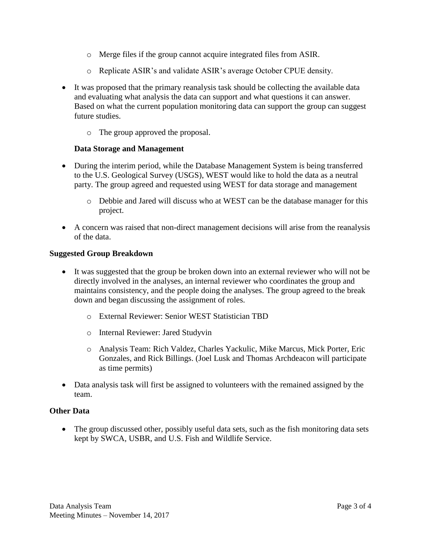- o Merge files if the group cannot acquire integrated files from ASIR.
- o Replicate ASIR's and validate ASIR's average October CPUE density.
- It was proposed that the primary reanalysis task should be collecting the available data and evaluating what analysis the data can support and what questions it can answer. Based on what the current population monitoring data can support the group can suggest future studies.
	- o The group approved the proposal.

#### **Data Storage and Management**

- During the interim period, while the Database Management System is being transferred to the U.S. Geological Survey (USGS), WEST would like to hold the data as a neutral party. The group agreed and requested using WEST for data storage and management
	- o Debbie and Jared will discuss who at WEST can be the database manager for this project.
- A concern was raised that non-direct management decisions will arise from the reanalysis of the data.

#### **Suggested Group Breakdown**

- It was suggested that the group be broken down into an external reviewer who will not be directly involved in the analyses, an internal reviewer who coordinates the group and maintains consistency, and the people doing the analyses. The group agreed to the break down and began discussing the assignment of roles.
	- o External Reviewer: Senior WEST Statistician TBD
	- o Internal Reviewer: Jared Studyvin
	- o Analysis Team: Rich Valdez, Charles Yackulic, Mike Marcus, Mick Porter, Eric Gonzales, and Rick Billings. (Joel Lusk and Thomas Archdeacon will participate as time permits)
- Data analysis task will first be assigned to volunteers with the remained assigned by the team.

#### **Other Data**

• The group discussed other, possibly useful data sets, such as the fish monitoring data sets kept by SWCA, USBR, and U.S. Fish and Wildlife Service.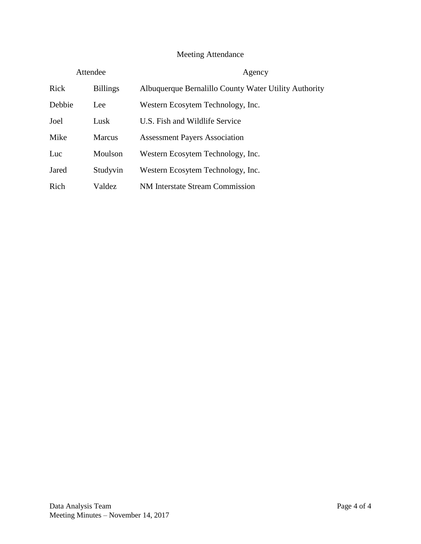## Meeting Attendance

| Attendee |                 | Agency                                                |  |
|----------|-----------------|-------------------------------------------------------|--|
| Rick     | <b>Billings</b> | Albuquerque Bernalillo County Water Utility Authority |  |
| Debbie   | Lee             | Western Ecosytem Technology, Inc.                     |  |
| Joel     | Lusk            | U.S. Fish and Wildlife Service                        |  |
| Mike     | <b>Marcus</b>   | <b>Assessment Payers Association</b>                  |  |
| Luc      | Moulson         | Western Ecosytem Technology, Inc.                     |  |
| Jared    | Studyvin        | Western Ecosytem Technology, Inc.                     |  |
| Rich     | Valdez          | <b>NM</b> Interstate Stream Commission                |  |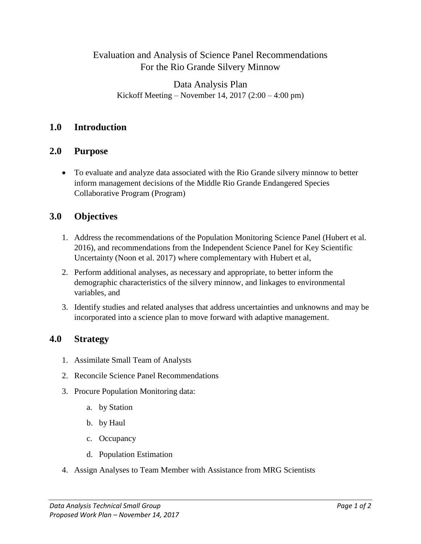## Evaluation and Analysis of Science Panel Recommendations For the Rio Grande Silvery Minnow

## Data Analysis Plan Kickoff Meeting – November 14, 2017 (2:00 – 4:00 pm)

## **1.0 Introduction**

### **2.0 Purpose**

 To evaluate and analyze data associated with the Rio Grande silvery minnow to better inform management decisions of the Middle Rio Grande Endangered Species Collaborative Program (Program)

## **3.0 Objectives**

- 1. Address the recommendations of the Population Monitoring Science Panel (Hubert et al. 2016), and recommendations from the Independent Science Panel for Key Scientific Uncertainty (Noon et al. 2017) where complementary with Hubert et al,
- 2. Perform additional analyses, as necessary and appropriate, to better inform the demographic characteristics of the silvery minnow, and linkages to environmental variables, and
- 3. Identify studies and related analyses that address uncertainties and unknowns and may be incorporated into a science plan to move forward with adaptive management.

## **4.0 Strategy**

- 1. Assimilate Small Team of Analysts
- 2. Reconcile Science Panel Recommendations
- 3. Procure Population Monitoring data:
	- a. by Station
	- b. by Haul
	- c. Occupancy
	- d. Population Estimation
- 4. Assign Analyses to Team Member with Assistance from MRG Scientists